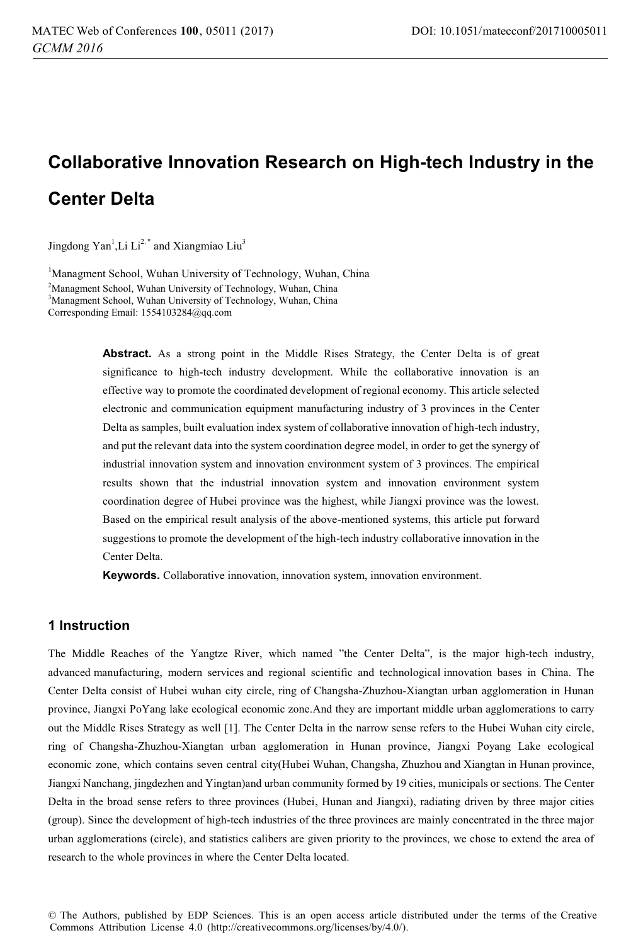# **Collaborative Innovation Research on High-tech Industry in the Center Delta**

Jingdong Yan<sup>1</sup>,Li Li<sup>2,\*</sup> and Xiangmiao Liu<sup>3</sup>

<sup>1</sup>Managment School, Wuhan University of Technology, Wuhan, China <sup>2</sup>Managment School, Wuhan University of Technology, Wuhan, China 3 Managment School, Wuhan University of Technology, Wuhan, China Corresponding Email: 1554103284@qq.com

> Abstract. As a strong point in the Middle Rises Strategy, the Center Delta is of great significance to high-tech industry development. While the collaborative innovation is an effective way to promote the coordinated development of regional economy. This article selected electronic and communication equipment manufacturing industry of 3 provinces in the Center Delta as samples, built evaluation index system of collaborative innovation of high-tech industry, and put the relevant data into the system coordination degree model, in order to get the synergy of industrial innovation system and innovation environment system of 3 provinces. The empirical results shown that the industrial innovation system and innovation environment system coordination degree of Hubei province was the highest, while Jiangxi province was the lowest. Based on the empirical result analysis of the above-mentioned systems, this article put forward suggestions to promote the development of the high-tech industry collaborative innovation in the Center Delta.

**Keywords.** Collaborative innovation, innovation system, innovation environment.

# **1 Instruction**

The Middle Reaches of the Yangtze River, which named "the Center Delta", is the major high-tech industry, advanced manufacturing, modern services and regional scientific and technological innovation bases in China. The Center Delta consist of Hubei wuhan city circle, ring of Changsha-Zhuzhou-Xiangtan urban agglomeration in Hunan province, Jiangxi PoYang lake ecological economic zone.And they are important middle urban agglomerations to carry out the Middle Rises Strategy as well [1]. The Center Delta in the narrow sense refers to the Hubei Wuhan city circle, ring of Changsha-Zhuzhou-Xiangtan urban agglomeration in Hunan province, Jiangxi Poyang Lake ecological economic zone, which contains seven central city(Hubei Wuhan, Changsha, Zhuzhou and Xiangtan in Hunan province, Jiangxi Nanchang, jingdezhen and Yingtan)and urban community formed by 19 cities, municipals or sections. The Center Delta in the broad sense refers to three provinces (Hubei, Hunan and Jiangxi), radiating driven by three major cities (group). Since the development of high-tech industries of the three provinces are mainly concentrated in the three major urban agglomerations (circle), and statistics calibers are given priority to the provinces, we chose to extend the area of research to the whole provinces in where the Center Delta located.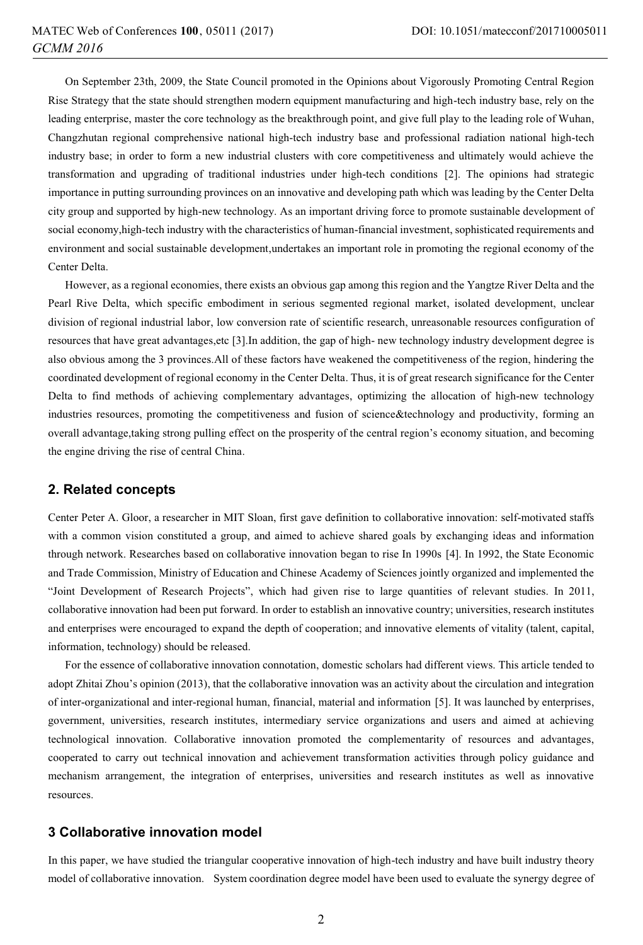On September 23th, 2009, the State Council promoted in the Opinions about Vigorously Promoting Central Region Rise Strategy that the state should strengthen modern equipment manufacturing and high-tech industry base, rely on the leading enterprise, master the core technology as the breakthrough point, and give full play to the leading role of Wuhan, Changzhutan regional comprehensive national high-tech industry base and professional radiation national high-tech industry base; in order to form a new industrial clusters with core competitiveness and ultimately would achieve the transformation and upgrading of traditional industries under high-tech conditions [2]. The opinions had strategic importance in putting surrounding provinces on an innovative and developing path which was leading by the Center Delta city group and supported by high-new technology. As an important driving force to promote sustainable development of social economy,high-tech industry with the characteristics of human-financial investment, sophisticated requirements and environment and social sustainable development,undertakes an important role in promoting the regional economy of the Center Delta.

However, as a regional economies, there exists an obvious gap among this region and the Yangtze River Delta and the Pearl Rive Delta, which specific embodiment in serious segmented regional market, isolated development, unclear division of regional industrial labor, low conversion rate of scientific research, unreasonable resources configuration of resources that have great advantages,etc [3].In addition, the gap of high- new technology industry development degree is also obvious among the 3 provinces.All of these factors have weakened the competitiveness of the region, hindering the coordinated development of regional economy in the Center Delta. Thus, it is of great research significance for the Center Delta to find methods of achieving complementary advantages, optimizing the allocation of high-new technology industries resources, promoting the competitiveness and fusion of science&technology and productivity, forming an overall advantage,taking strong pulling effect on the prosperity of the central region's economy situation, and becoming the engine driving the rise of central China.

### **2. Related concepts**

Center Peter A. Gloor, a researcher in MIT Sloan, first gave definition to collaborative innovation: self-motivated staffs with a common vision constituted a group, and aimed to achieve shared goals by exchanging ideas and information through network. Researches based on collaborative innovation began to rise In 1990s [4]. In 1992, the State Economic and Trade Commission, Ministry of Education and Chinese Academy of Sciences jointly organized and implemented the "Joint Development of Research Projects", which had given rise to large quantities of relevant studies. In 2011, collaborative innovation had been put forward. In order to establish an innovative country; universities, research institutes and enterprises were encouraged to expand the depth of cooperation; and innovative elements of vitality (talent, capital, information, technology) should be released.

For the essence of collaborative innovation connotation, domestic scholars had different views. This article tended to adopt Zhitai Zhou's opinion (2013), that the collaborative innovation was an activity about the circulation and integration of inter-organizational and inter-regional human, financial, material and information [5]. It was launched by enterprises, government, universities, research institutes, intermediary service organizations and users and aimed at achieving technological innovation. Collaborative innovation promoted the complementarity of resources and advantages, cooperated to carry out technical innovation and achievement transformation activities through policy guidance and mechanism arrangement, the integration of enterprises, universities and research institutes as well as innovative resources.

# **3 Collaborative innovation model**

In this paper, we have studied the triangular cooperative innovation of high-tech industry and have built industry theory model of collaborative innovation. System coordination degree model have been used to evaluate the synergy degree of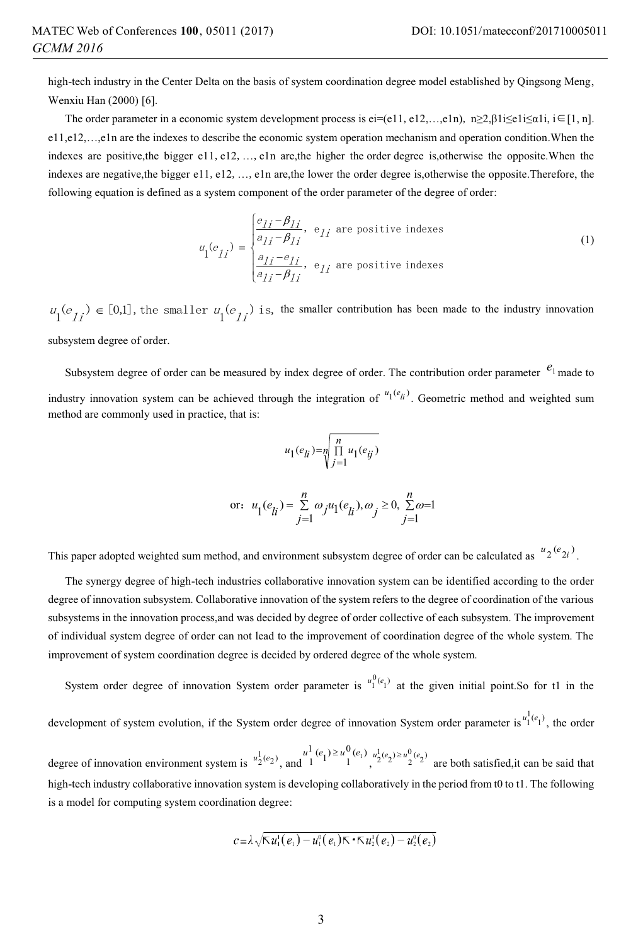high-tech industry in the Center Delta on the basis of system coordination degree model established by Qingsong Meng, Wenxiu Han (2000) [6].

The order parameter in a economic system development process is ei=(e11, e12,…,e1n),  $n\geq 2$ , $\beta$ 1i $\leq$ e1i $\leq \alpha$ 1i, i $\in$ [1, n]. e11,e12,…,e1n are the indexes to describe the economic system operation mechanism and operation condition.When the indexes are positive, the bigger e11, e12, ..., e1n are, the higher the order degree is, otherwise the opposite. When the indexes are negative,the bigger e11, e12, ..., e1n are,the lower the order degree is,otherwise the opposite.Therefore, the following equation is defined as a system component of the order parameter of the degree of order:

$$
u_{1}(e_{1i}) = \begin{cases} \frac{e_{1i} - \beta_{1i}}{a_{1i} - \beta_{1i}}, & e_{1i} \text{ are positive indexes} \\ \frac{a_{1i} - \beta_{1i}}{a_{1i} - \beta_{1i}}, & e_{1i} \text{ are positive indexes} \end{cases}
$$
(1)

 $u_1(e_i) \in [0,1]$ , the smaller  $u_1(e_i)$  is, the smaller contribution has been made to the industry innovation

subsystem degree of order.

Subsystem degree of order can be measured by index degree of order. The contribution order parameter  $e_1$  made to industry innovation system can be achieved through the integration of  $u_1(e_h)$ . Geometric method and weighted sum method are commonly used in practice, that is:

$$
u_1(e_{li}) = \sqrt[n]{\prod\limits_{j=1}^n u_1(e_{ij})}
$$

or: 
$$
u_1(e_{li}) = \sum_{j=1}^n \omega_j u_1(e_{li}), \omega_j \ge 0, \sum_{j=1}^n \omega = 1
$$

This paper adopted weighted sum method, and environment subsystem degree of order can be calculated as  $u_2(e_{2i})$ .

The synergy degree of high-tech industries collaborative innovation system can be identified according to the order degree of innovation subsystem. Collaborative innovation of the system refers to the degree of coordination of the various subsystems in the innovation process,and was decided by degree of order collective of each subsystem. The improvement of individual system degree of order can not lead to the improvement of coordination degree of the whole system. The improvement of system coordination degree is decided by ordered degree of the whole system.

System order degree of innovation System order parameter is  $u_1^{0}(e_1)$  at the given initial point.So for t1 in the

development of system evolution, if the System order degree of innovation System order parameter is  $u_1^1(e_1)$ , the order

degree of innovation environment system is  $u_2^1(e_2)$ , and  $1^{(1)}(e_1) \ge u_1^0(e_1)$ ,  $u_2^1(e_2) \ge u_2^0(e_2)$  are both satisfied, it can be said that high-tech industry collaborative innovation system is developing collaboratively in the period from t0 to t1. The following is a model for computing system coordination degree:

$$
c = \lambda \sqrt{\mathsf{K}}\,u_1^1(e_1) - u_1^0(e_1)\mathsf{K}\cdot\mathsf{K}\,u_2^1(e_2) - u_2^0(e_2)
$$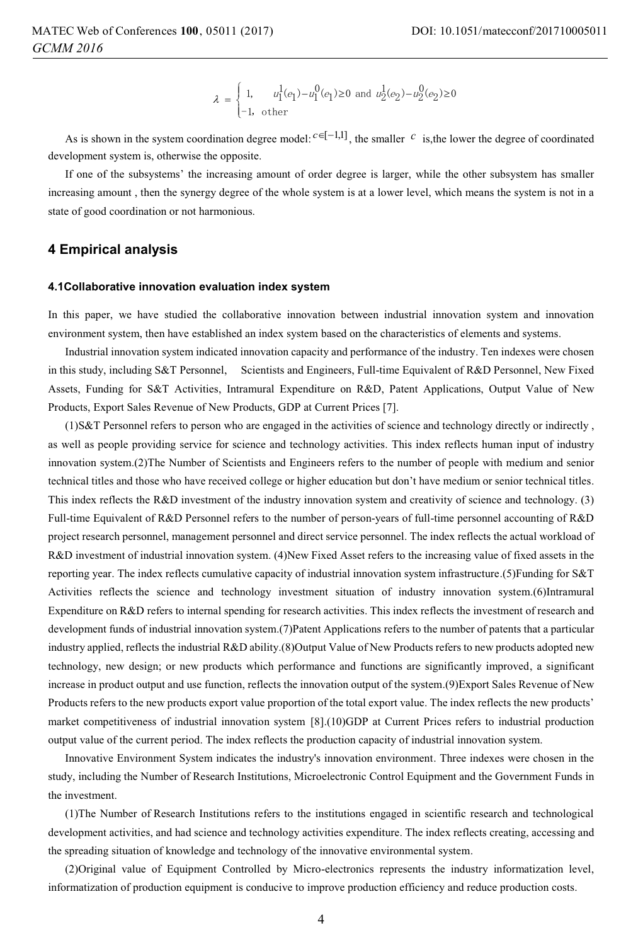$$
\lambda \, = \, \begin{cases} \, 1, & u_1^1(e_1) - u_1^0(e_1) \geq 0 \, \text{ and } \, u_2^1(e_2) - u_2^0(e_2) \geq 0 \\ -1, & \text{other} \end{cases}
$$

As is shown in the system coordination degree model:  $c \in [-1,1]$ , the smaller  $c$  is, the lower the degree of coordinated development system is, otherwise the opposite.

If one of the subsystems' the increasing amount of order degree is larger, while the other subsystem has smaller increasing amount , then the synergy degree of the whole system is at a lower level, which means the system is not in a state of good coordination or not harmonious.

## **4 Empirical analysis**

#### **4.1Collaborative innovation evaluation index system**

In this paper, we have studied the collaborative innovation between industrial innovation system and innovation environment system, then have established an index system based on the characteristics of elements and systems.

Industrial innovation system indicated innovation capacity and performance of the industry. Ten indexes were chosen in this study, including S&T Personnel, Scientists and Engineers, Full-time Equivalent of R&D Personnel, New Fixed Assets, Funding for S&T Activities, Intramural Expenditure on R&D, Patent Applications, Output Value of New Products, Export Sales Revenue of New Products, GDP at Current Prices [7].

(1)S&T Personnel refers to person who are engaged in the activities of science and technology directly or indirectly , as well as people providing service for science and technology activities. This index reflects human input of industry innovation system.(2)The Number of Scientists and Engineers refers to the number of people with medium and senior technical titles and those who have received college or higher education but don't have medium or senior technical titles. This index reflects the R&D investment of the industry innovation system and creativity of science and technology. (3) Full-time Equivalent of R&D Personnel refers to the number of person-years of full-time personnel accounting of R&D project research personnel, management personnel and direct service personnel. The index reflects the actual workload of R&D investment of industrial innovation system. (4)New Fixed Asset refers to the increasing value of fixed assets in the reporting year. The index reflects cumulative capacity of industrial innovation system infrastructure.(5)Funding for S&T Activities reflects the science and technology investment situation of industry innovation system.(6)Intramural Expenditure on R&D refers to internal spending for research activities. This index reflects the investment of research and development funds of industrial innovation system.(7)Patent Applications refers to the number of patents that a particular industry applied, reflects the industrial R&D ability.(8)Output Value of New Products refers to new products adopted new technology, new design; or new products which performance and functions are significantly improved, a significant increase in product output and use function, reflects the innovation output of the system.(9)Export Sales Revenue of New Products refers to the new products export value proportion of the total export value. The index reflects the new products' market competitiveness of industrial innovation system [8].(10)GDP at Current Prices refers to industrial production output value of the current period. The index reflects the production capacity of industrial innovation system.

Innovative Environment System indicates the industry's innovation environment. Three indexes were chosen in the study, including the Number of Research Institutions, Microelectronic Control Equipment and the Government Funds in the investment.

(1)The Number of Research Institutions refers to the institutions engaged in scientific research and technological development activities, and had science and technology activities expenditure. The index reflects creating, accessing and the spreading situation of knowledge and technology of the innovative environmental system.

(2)Original value of Equipment Controlled by Micro-electronics represents the industry informatization level, informatization of production equipment is conducive to improve production efficiency and reduce production costs.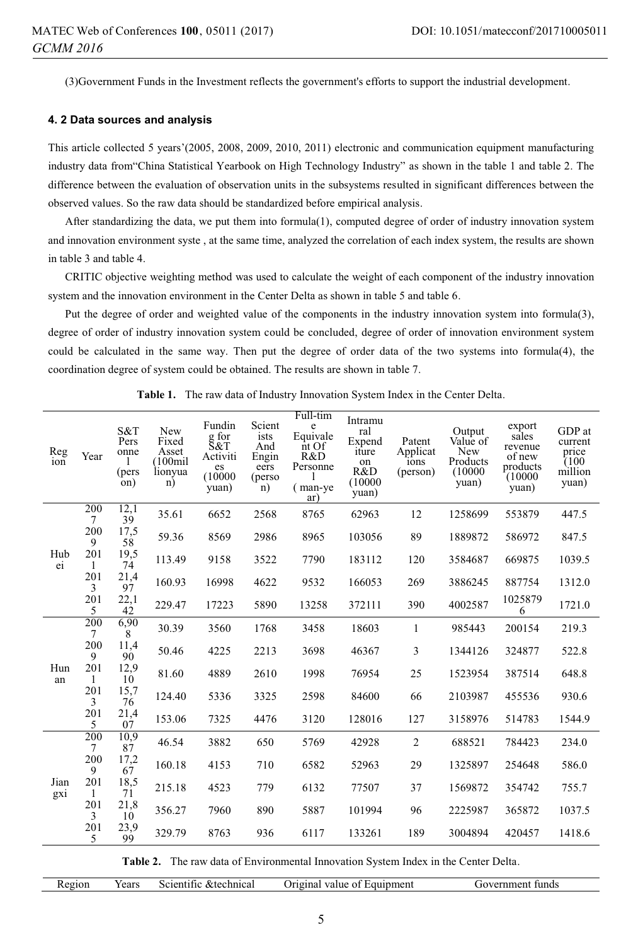(3)Government Funds in the Investment reflects the government's efforts to support the industrial development.

#### **4. 2 Data sources and analysis**

This article collected 5 years'(2005, 2008, 2009, 2010, 2011) electronic and communication equipment manufacturing industry data from"China Statistical Yearbook on High Technology Industry" as shown in the table 1 and table 2. The difference between the evaluation of observation units in the subsystems resulted in significant differences between the observed values. So the raw data should be standardized before empirical analysis.

After standardizing the data, we put them into formula(1), computed degree of order of industry innovation system and innovation environment syste , at the same time, analyzed the correlation of each index system, the results are shown in table 3 and table 4.

CRITIC objective weighting method was used to calculate the weight of each component of the industry innovation system and the innovation environment in the Center Delta as shown in table 5 and table 6.

Put the degree of order and weighted value of the components in the industry innovation system into formula(3), degree of order of industry innovation system could be concluded, degree of order of innovation environment system could be calculated in the same way. Then put the degree of order data of the two systems into formula(4), the coordination degree of system could be obtained. The results are shown in table 7.

| Reg<br>ion  | Year                | S&T<br>Pers<br>onne<br>1<br>(pers<br>on) | New<br>Fixed<br>Asset<br>(100 <sub>mi</sub> ]<br>lionyua<br>n) | Fundin<br>g for<br>S&T<br>Activiti<br>es<br>(10000)<br>yuan) | Scient<br>ists<br>And<br>Engin<br>eers<br>(perso<br>n) | Full-tim<br>e<br>Equivale<br>$\overline{nt}$ Of<br>R&D<br>Personne<br>(man-ye<br>ar) | Intramu<br>ral<br>Expend<br>iture<br>on<br>R&D<br>(10000)<br>yuan) | Patent<br>Applicat<br>ions<br>(person) | Output<br>Value of<br>New<br>Products<br>(10000)<br>yuan) | export<br>sales<br>revenue<br>of new<br>products<br>(10000)<br>yuan) | GDP at<br>current<br>price<br>$\tilde{U}$ 100<br>million<br>yuan) |
|-------------|---------------------|------------------------------------------|----------------------------------------------------------------|--------------------------------------------------------------|--------------------------------------------------------|--------------------------------------------------------------------------------------|--------------------------------------------------------------------|----------------------------------------|-----------------------------------------------------------|----------------------------------------------------------------------|-------------------------------------------------------------------|
|             | 200<br>$\tau$       | 12,1<br>39                               | 35.61                                                          | 6652                                                         | 2568                                                   | 8765                                                                                 | 62963                                                              | 12                                     | 1258699                                                   | 553879                                                               | 447.5                                                             |
|             | 200<br>9            | 17,5<br>58                               | 59.36                                                          | 8569                                                         | 2986                                                   | 8965                                                                                 | 103056                                                             | 89                                     | 1889872                                                   | 586972                                                               | 847.5                                                             |
| Hub<br>ei   | 201<br>$\mathbf{1}$ | 19,5<br>74                               | 113.49                                                         | 9158                                                         | 3522                                                   | 7790                                                                                 | 183112                                                             | 120                                    | 3584687                                                   | 669875                                                               | 1039.5                                                            |
|             | 201<br>3            | 21,4<br>97                               | 160.93                                                         | 16998                                                        | 4622                                                   | 9532                                                                                 | 166053                                                             | 269                                    | 3886245                                                   | 887754                                                               | 1312.0                                                            |
|             | 201<br>5            | 22,1<br>42                               | 229.47                                                         | 17223                                                        | 5890                                                   | 13258                                                                                | 372111                                                             | 390                                    | 4002587                                                   | 1025879<br>6                                                         | 1721.0                                                            |
|             | 200<br>7            | 6,90<br>8                                | 30.39                                                          | 3560                                                         | 1768                                                   | 3458                                                                                 | 18603                                                              | 1                                      | 985443                                                    | 200154                                                               | 219.3                                                             |
|             | 200<br>9            | 11,4<br>90                               | 50.46                                                          | 4225                                                         | 2213                                                   | 3698                                                                                 | 46367                                                              | 3                                      | 1344126                                                   | 324877                                                               | 522.8                                                             |
| Hun<br>an   | 201<br>$\mathbf{1}$ | 12,9<br>10                               | 81.60                                                          | 4889                                                         | 2610                                                   | 1998                                                                                 | 76954                                                              | 25                                     | 1523954                                                   | 387514                                                               | 648.8                                                             |
|             | 201<br>3            | 15.7<br>76                               | 124.40                                                         | 5336                                                         | 3325                                                   | 2598                                                                                 | 84600                                                              | 66                                     | 2103987                                                   | 455536                                                               | 930.6                                                             |
|             | 201<br>5            | 21,4<br>07                               | 153.06                                                         | 7325                                                         | 4476                                                   | 3120                                                                                 | 128016                                                             | 127                                    | 3158976                                                   | 514783                                                               | 1544.9                                                            |
|             | 200<br>7            | 10,9<br>87                               | 46.54                                                          | 3882                                                         | 650                                                    | 5769                                                                                 | 42928                                                              | 2                                      | 688521                                                    | 784423                                                               | 234.0                                                             |
|             | 200<br>9            | 17,2<br>67                               | 160.18                                                         | 4153                                                         | 710                                                    | 6582                                                                                 | 52963                                                              | 29                                     | 1325897                                                   | 254648                                                               | 586.0                                                             |
| Jian<br>gxi | 201<br>$\mathbf{1}$ | 18,5<br>71                               | 215.18                                                         | 4523                                                         | 779                                                    | 6132                                                                                 | 77507                                                              | 37                                     | 1569872                                                   | 354742                                                               | 755.7                                                             |
|             | 201<br>3            | 21,8<br>10                               | 356.27                                                         | 7960                                                         | 890                                                    | 5887                                                                                 | 101994                                                             | 96                                     | 2225987                                                   | 365872                                                               | 1037.5                                                            |
|             | 201<br>5            | 23,9<br>99                               | 329.79                                                         | 8763                                                         | 936                                                    | 6117                                                                                 | 133261                                                             | 189                                    | 3004894                                                   | 420457                                                               | 1418.6                                                            |

**Table 1.** The raw data of Industry Innovation System Index in the Center Delta.

**Table 2.** The raw data of Environmental Innovation System Index in the Center Delta.

| Region | Years | Scientific & technical | Original value of Equipment | Government funds |
|--------|-------|------------------------|-----------------------------|------------------|
|        |       |                        |                             |                  |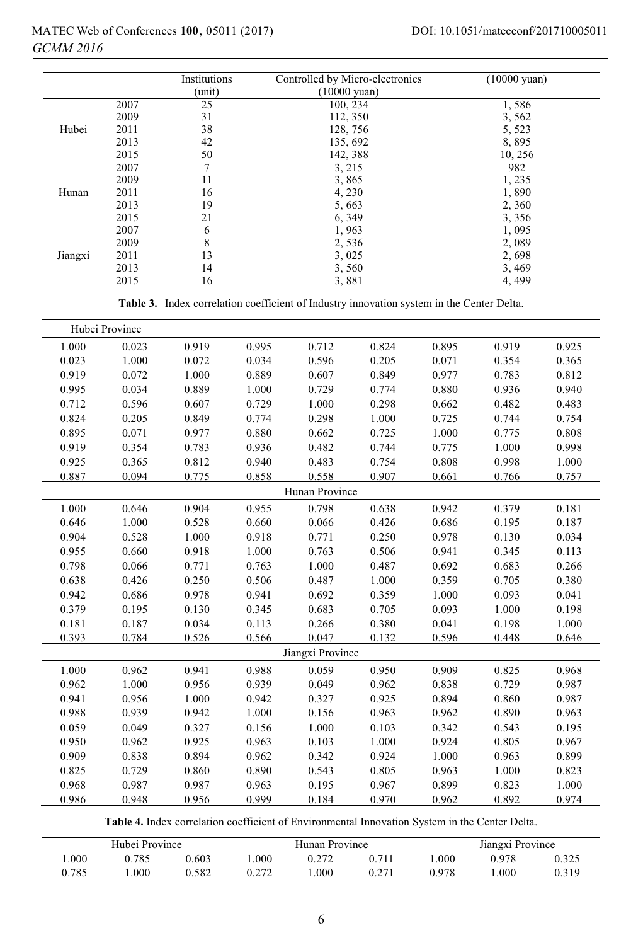|         |      | Institutions<br>(unit) | Controlled by Micro-electronics<br>$(10000 \text{ yuan})$ | $(10000 \text{ yuan})$ |
|---------|------|------------------------|-----------------------------------------------------------|------------------------|
|         | 2007 | 25                     | 100, 234                                                  | 1,586                  |
|         | 2009 | 31                     | 112, 350                                                  | 3,562                  |
| Hubei   | 2011 | 38                     | 128,756                                                   | 5,523                  |
|         | 2013 | 42                     | 135, 692                                                  | 8,895                  |
|         | 2015 | 50                     | 142, 388                                                  | 10, 256                |
|         | 2007 | 7                      | 3, 215                                                    | 982                    |
|         | 2009 | 11                     | 3,865                                                     | 1,235                  |
| Hunan   | 2011 | 16                     | 4, 230                                                    | 1,890                  |
|         | 2013 | 19                     | 5,663                                                     | 2,360                  |
|         | 2015 | 21                     | 6, 349                                                    | 3,356                  |
|         | 2007 | 6                      | 1,963                                                     | 1,095                  |
|         | 2009 | 8                      | 2,536                                                     | 2,089                  |
| Jiangxi | 2011 | 13                     | 3,025                                                     | 2,698                  |
|         | 2013 | 14                     | 3,560                                                     | 3,469                  |
|         | 2015 | 16                     | 3,881                                                     | 4, 499                 |

**Table 3.** Index correlation coefficient of Industry innovation system in the Center Delta.

|                | Hubei Province |       |       |                  |       |       |       |       |  |  |  |
|----------------|----------------|-------|-------|------------------|-------|-------|-------|-------|--|--|--|
| 1.000          | 0.023          | 0.919 | 0.995 | 0.712            | 0.824 | 0.895 | 0.919 | 0.925 |  |  |  |
| 0.023          | 1.000          | 0.072 | 0.034 | 0.596            | 0.205 | 0.071 | 0.354 | 0.365 |  |  |  |
| 0.919          | 0.072          | 1.000 | 0.889 | 0.607            | 0.849 | 0.977 | 0.783 | 0.812 |  |  |  |
| 0.995          | 0.034          | 0.889 | 1.000 | 0.729            | 0.774 | 0.880 | 0.936 | 0.940 |  |  |  |
| 0.712          | 0.596          | 0.607 | 0.729 | 1.000            | 0.298 | 0.662 | 0.482 | 0.483 |  |  |  |
| 0.824          | 0.205          | 0.849 | 0.774 | 0.298            | 1.000 | 0.725 | 0.744 | 0.754 |  |  |  |
| 0.895          | 0.071          | 0.977 | 0.880 | 0.662            | 0.725 | 1.000 | 0.775 | 0.808 |  |  |  |
| 0.919          | 0.354          | 0.783 | 0.936 | 0.482            | 0.744 | 0.775 | 1.000 | 0.998 |  |  |  |
| 0.925          | 0.365          | 0.812 | 0.940 | 0.483            | 0.754 | 0.808 | 0.998 | 1.000 |  |  |  |
| 0.887          | 0.094          | 0.775 | 0.858 | 0.558            | 0.907 | 0.661 | 0.766 | 0.757 |  |  |  |
| Hunan Province |                |       |       |                  |       |       |       |       |  |  |  |
| 1.000          | 0.646          | 0.904 | 0.955 | 0.798            | 0.638 | 0.942 | 0.379 | 0.181 |  |  |  |
| 0.646          | 1.000          | 0.528 | 0.660 | 0.066            | 0.426 | 0.686 | 0.195 | 0.187 |  |  |  |
| 0.904          | 0.528          | 1.000 | 0.918 | 0.771            | 0.250 | 0.978 | 0.130 | 0.034 |  |  |  |
| 0.955          | 0.660          | 0.918 | 1.000 | 0.763            | 0.506 | 0.941 | 0.345 | 0.113 |  |  |  |
| 0.798          | 0.066          | 0.771 | 0.763 | 1.000            | 0.487 | 0.692 | 0.683 | 0.266 |  |  |  |
| 0.638          | 0.426          | 0.250 | 0.506 | 0.487            | 1.000 | 0.359 | 0.705 | 0.380 |  |  |  |
| 0.942          | 0.686          | 0.978 | 0.941 | 0.692            | 0.359 | 1.000 | 0.093 | 0.041 |  |  |  |
| 0.379          | 0.195          | 0.130 | 0.345 | 0.683            | 0.705 | 0.093 | 1.000 | 0.198 |  |  |  |
| 0.181          | 0.187          | 0.034 | 0.113 | 0.266            | 0.380 | 0.041 | 0.198 | 1.000 |  |  |  |
| 0.393          | 0.784          | 0.526 | 0.566 | 0.047            | 0.132 | 0.596 | 0.448 | 0.646 |  |  |  |
|                |                |       |       | Jiangxi Province |       |       |       |       |  |  |  |
| 1.000          | 0.962          | 0.941 | 0.988 | 0.059            | 0.950 | 0.909 | 0.825 | 0.968 |  |  |  |
| 0.962          | 1.000          | 0.956 | 0.939 | 0.049            | 0.962 | 0.838 | 0.729 | 0.987 |  |  |  |
| 0.941          | 0.956          | 1.000 | 0.942 | 0.327            | 0.925 | 0.894 | 0.860 | 0.987 |  |  |  |
| 0.988          | 0.939          | 0.942 | 1.000 | 0.156            | 0.963 | 0.962 | 0.890 | 0.963 |  |  |  |
| 0.059          | 0.049          | 0.327 | 0.156 | 1.000            | 0.103 | 0.342 | 0.543 | 0.195 |  |  |  |
| 0.950          | 0.962          | 0.925 | 0.963 | 0.103            | 1.000 | 0.924 | 0.805 | 0.967 |  |  |  |
| 0.909          | 0.838          | 0.894 | 0.962 | 0.342            | 0.924 | 1.000 | 0.963 | 0.899 |  |  |  |
| 0.825          | 0.729          | 0.860 | 0.890 | 0.543            | 0.805 | 0.963 | 1.000 | 0.823 |  |  |  |
| 0.968          | 0.987          | 0.987 | 0.963 | 0.195            | 0.967 | 0.899 | 0.823 | 1.000 |  |  |  |
| 0.986          | 0.948          | 0.956 | 0.999 | 0.184            | 0.970 | 0.962 | 0.892 | 0.974 |  |  |  |

**Table 4.** Index correlation coefficient of Environmental Innovation System in the Center Delta.

|       | Hubei Province |       |      | Hunan Province |       |       | Jiangxi Province |       |  |
|-------|----------------|-------|------|----------------|-------|-------|------------------|-------|--|
| .000  | .785           | 0.603 | 000  | 0.272          | 0.711 | .000  | 0.978            | 0.325 |  |
| J.785 | .000           | ).582 | רי ר | .000           |       | 0.978 | .000             | 0.319 |  |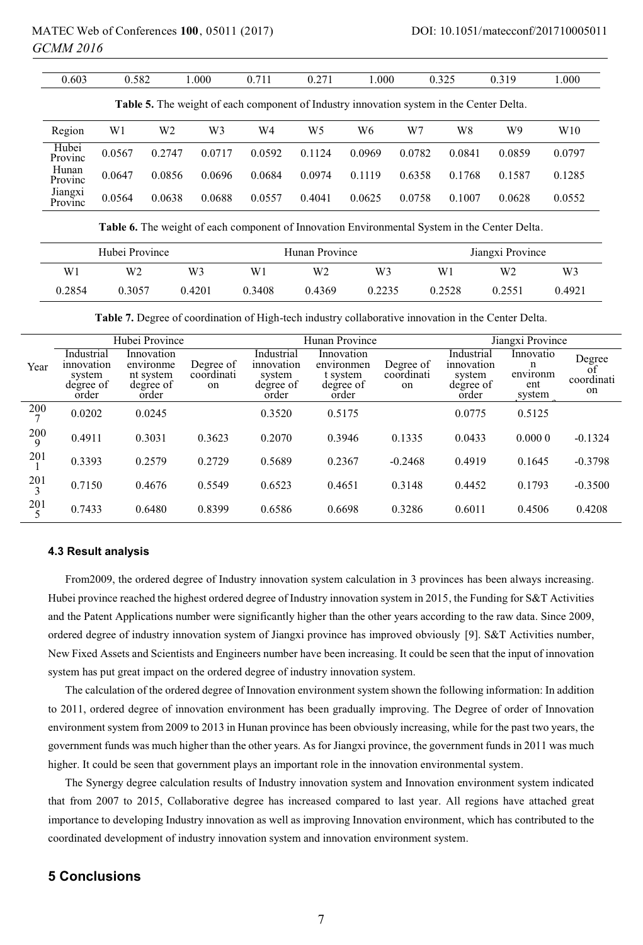| 0.603                                                                                           | 0.582  |        | 000.   | 0.711  | 0.271  | 1.000  |        | 0.325  | 0.319  | 1.000  |  |  |
|-------------------------------------------------------------------------------------------------|--------|--------|--------|--------|--------|--------|--------|--------|--------|--------|--|--|
| <b>Table 5.</b> The weight of each component of Industry innovation system in the Center Delta. |        |        |        |        |        |        |        |        |        |        |  |  |
| Region                                                                                          | W1     | W2     | W3     | W4     | W5     | W6     | W7     | W8     | W9     | W10    |  |  |
| Hubei<br>Provinc                                                                                | 0.0567 | 0.2747 | 0.0717 | 0.0592 | 0.1124 | 0.0969 | 0.0782 | 0.0841 | 0.0859 | 0.0797 |  |  |
| Hunan<br>Provinc                                                                                | 0.0647 | 0.0856 | 0.0696 | 0.0684 | 0.0974 | 0.1119 | 0.6358 | 0.1768 | 0.1587 | 0.1285 |  |  |
| Jiangxi<br>Provinc                                                                              | 0.0564 | 0.0638 | 0.0688 | 0.0557 | 0.4041 | 0.0625 | 0.0758 | 0.1007 | 0.0628 | 0.0552 |  |  |
|                                                                                                 |        |        |        |        |        |        |        |        |        |        |  |  |

**Table 6.** The weight of each component of Innovation Environmental System in the Center Delta.

|        | Hubei Province |                |        | Hunan Province |        | Jiangxi Province |        |        |  |
|--------|----------------|----------------|--------|----------------|--------|------------------|--------|--------|--|
| W1     | W2             | W <sub>3</sub> | W      | W2             | W3     | W1               | W2     | W3     |  |
| 0.2854 | 0.3057         | 0.4201         | 0.3408 | 0.4369         | 0.2235 | 0.2528           | 0.2551 | 0.4921 |  |

**Table 7.** Degree of coordination of High-tech industry collaborative innovation in the Center Delta.

|          |                                                          | Hubei Province                                             |                               |                                                          | Hunan Province                                             |                               | Jiangxi Province                                         |                                             |                                  |
|----------|----------------------------------------------------------|------------------------------------------------------------|-------------------------------|----------------------------------------------------------|------------------------------------------------------------|-------------------------------|----------------------------------------------------------|---------------------------------------------|----------------------------------|
| Year     | Industrial<br>innovation<br>system<br>degree of<br>order | Innovation<br>environme<br>nt system<br>degree of<br>order | Degree of<br>coordinati<br>on | Industrial<br>innovation<br>system<br>degree of<br>order | Innovation<br>environmen<br>t system<br>degree of<br>order | Degree of<br>coordinati<br>on | Industrial<br>innovation<br>system<br>degree of<br>order | Innovatio<br>n<br>environm<br>ent<br>system | Degree<br>Ωt<br>coordinati<br>on |
| 200      | 0.0202                                                   | 0.0245                                                     |                               | 0.3520                                                   | 0.5175                                                     |                               | 0.0775                                                   | 0.5125                                      |                                  |
| 200<br>9 | 0.4911                                                   | 0.3031                                                     | 0.3623                        | 0.2070                                                   | 0.3946                                                     | 0.1335                        | 0.0433                                                   | 0.0000                                      | $-0.1324$                        |
| 201      | 0.3393                                                   | 0.2579                                                     | 0.2729                        | 0.5689                                                   | 0.2367                                                     | $-0.2468$                     | 0.4919                                                   | 0.1645                                      | $-0.3798$                        |
| 201<br>3 | 0.7150                                                   | 0.4676                                                     | 0.5549                        | 0.6523                                                   | 0.4651                                                     | 0.3148                        | 0.4452                                                   | 0.1793                                      | $-0.3500$                        |
| 201      | 0.7433                                                   | 0.6480                                                     | 0.8399                        | 0.6586                                                   | 0.6698                                                     | 0.3286                        | 0.6011                                                   | 0.4506                                      | 0.4208                           |

#### **4.3 Result analysis**

From2009, the ordered degree of Industry innovation system calculation in 3 provinces has been always increasing. Hubei province reached the highest ordered degree of Industry innovation system in 2015, the Funding for S&T Activities and the Patent Applications number were significantly higher than the other years according to the raw data. Since 2009, ordered degree of industry innovation system of Jiangxi province has improved obviously [9]. S&T Activities number, New Fixed Assets and Scientists and Engineers number have been increasing. It could be seen that the input of innovation system has put great impact on the ordered degree of industry innovation system.

The calculation of the ordered degree of Innovation environment system shown the following information: In addition to 2011, ordered degree of innovation environment has been gradually improving. The Degree of order of Innovation environment system from 2009 to 2013 in Hunan province has been obviously increasing, while for the past two years, the government funds was much higher than the other years. As for Jiangxi province, the government funds in 2011 was much higher. It could be seen that government plays an important role in the innovation environmental system.

The Synergy degree calculation results of Industry innovation system and Innovation environment system indicated that from 2007 to 2015, Collaborative degree has increased compared to last year. All regions have attached great importance to developing Industry innovation as well as improving Innovation environment, which has contributed to the coordinated development of industry innovation system and innovation environment system.

# **5 Conclusions**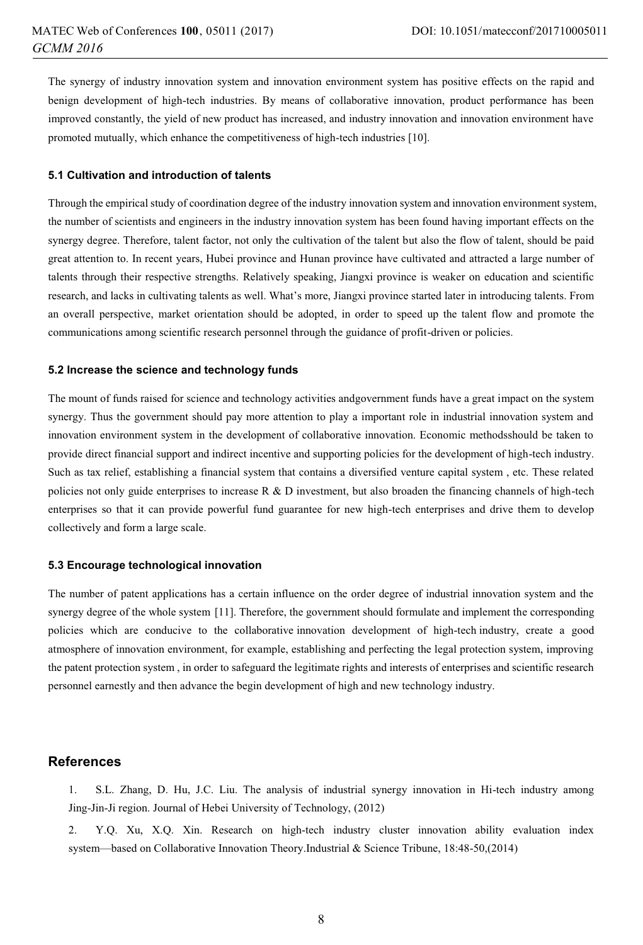The synergy of industry innovation system and innovation environment system has positive effects on the rapid and benign development of high-tech industries. By means of collaborative innovation, product performance has been improved constantly, the yield of new product has increased, and industry innovation and innovation environment have promoted mutually, which enhance the competitiveness of high-tech industries [10].

#### **5.1 Cultivation and introduction of talents**

Through the empirical study of coordination degree of the industry innovation system and innovation environment system, the number of scientists and engineers in the industry innovation system has been found having important effects on the synergy degree. Therefore, talent factor, not only the cultivation of the talent but also the flow of talent, should be paid great attention to. In recent years, Hubei province and Hunan province have cultivated and attracted a large number of talents through their respective strengths. Relatively speaking, Jiangxi province is weaker on education and scientific research, and lacks in cultivating talents as well. What's more, Jiangxi province started later in introducing talents. From an overall perspective, market orientation should be adopted, in order to speed up the talent flow and promote the communications among scientific research personnel through the guidance of profit-driven or policies.

#### **5.2 Increase the science and technology funds**

The mount of funds raised for science and technology activities andgovernment funds have a great impact on the system synergy. Thus the government should pay more attention to play a important role in industrial innovation system and innovation environment system in the development of collaborative innovation. Economic methodsshould be taken to provide direct financial support and indirect incentive and supporting policies for the development of high-tech industry. Such as tax relief, establishing a financial system that contains a diversified venture capital system , etc. These related policies not only guide enterprises to increase  $R \& D$  investment, but also broaden the financing channels of high-tech enterprises so that it can provide powerful fund guarantee for new high-tech enterprises and drive them to develop collectively and form a large scale.

#### **5.3 Encourage technological innovation**

The number of patent applications has a certain influence on the order degree of industrial innovation system and the synergy degree of the whole system [11]. Therefore, the government should formulate and implement the corresponding policies which are conducive to the collaborative innovation development of high-tech industry, create a good atmosphere of innovation environment, for example, establishing and perfecting the legal protection system, improving the patent protection system , in order to safeguard the legitimate rights and interests of enterprises and scientific research personnel earnestly and then advance the begin development of high and new technology industry.

#### **References**

1. S.L. Zhang, D. Hu, J.C. Liu. The analysis of industrial synergy innovation in Hi-tech industry among Jing-Jin-Ji region. Journal of Hebei University of Technology, (2012)

2. Y.Q. Xu, X.Q. Xin. Research on high-tech industry cluster innovation ability evaluation index system—based on Collaborative Innovation Theory.Industrial & Science Tribune, 18:48-50,(2014)